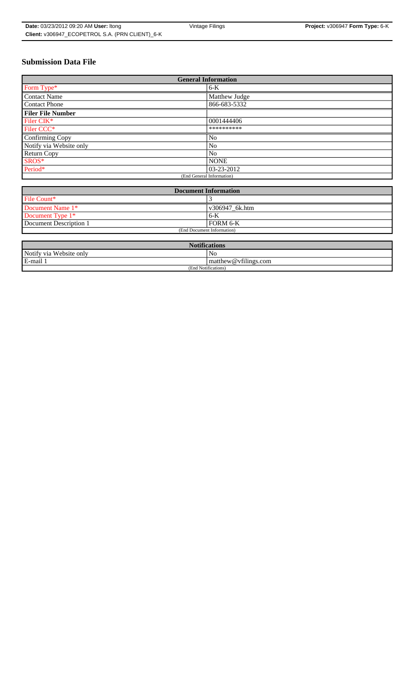# **Submission Data File**

| <b>General Information</b> |                |
|----------------------------|----------------|
| Form Type*                 | $6-K$          |
| Contact Name               | Matthew Judge  |
| Contact Phone              | 866-683-5332   |
| <b>Filer File Number</b>   |                |
| Filer CIK*                 | 0001444406     |
| Filer CCC*                 | **********     |
| Confirming Copy            | No             |
| Notify via Website only    | N <sub>0</sub> |
| Return Copy                | No             |
| SROS*                      | <b>NONE</b>    |
| Period*                    | 03-23-2012     |
| (End General Information)  |                |

| <b>Document Information</b> |                 |
|-----------------------------|-----------------|
| File Count*                 |                 |
| Document Name 1*            | v306947 6k.htm  |
| Document Type 1*            | $6 - K$         |
| Document Description 1      | <b>FORM 6-K</b> |
| (End Document Information)  |                 |
|                             |                 |

| <b>Notifications</b>    |                                                  |  |
|-------------------------|--------------------------------------------------|--|
| Notify via Website only | No                                               |  |
| E-mail 1                | $\mathbf{m}$ at the w $\mathcal{Q}$ vfilings.com |  |
| (End Notifications)     |                                                  |  |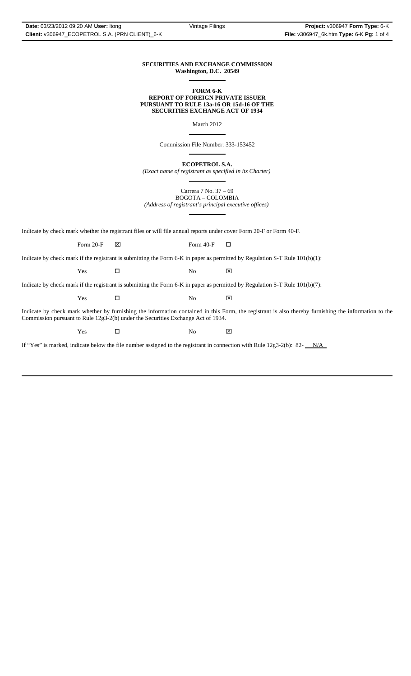#### **SECURITIES AND EXCHANGE COMMISSION Washington, D.C. 20549**  $\overline{a}$

### **FORM 6-K REPORT OF FOREIGN PRIVATE ISSUER PURSUANT TO RULE 13a-16 OR 15d-16 OF THE SECURITIES EXCHANGE ACT OF 1934**

March 2012

Commission File Number: 333-153452

 $\overline{a}$ 

 $\overline{a}$ 

 $\overline{a}$ 

**ECOPETROL S.A.**

*(Exact name of registrant as specified in its Charter)*

Carrera 7 No. 37 – 69

BOGOTA – COLOMBIA *(Address of registrant's principal executive offices)*  $\overline{a}$ 

Indicate by check mark whether the registrant files or will file annual reports under cover Form 20-F or Form 40-F.

Form 20-F  $\boxtimes$  Form 40-F  $\Box$ 

Indicate by check mark if the registrant is submitting the Form 6-K in paper as permitted by Regulation S-T Rule 101(b)(1):

 $Yes$   $\square$  No  $X$ 

Indicate by check mark if the registrant is submitting the Form 6-K in paper as permitted by Regulation S-T Rule 101(b)(7):

 $Yes$   $\square$  No  $X$ 

Indicate by check mark whether by furnishing the information contained in this Form, the registrant is also thereby furnishing the information to the Commission pursuant to Rule 12g3-2(b) under the Securities Exchange Act of 1934.

 $Yes$   $\square$  No  $X$ 

If "Yes" is marked, indicate below the file number assigned to the registrant in connection with Rule  $12g3-2(b)$ : 82- $N/A$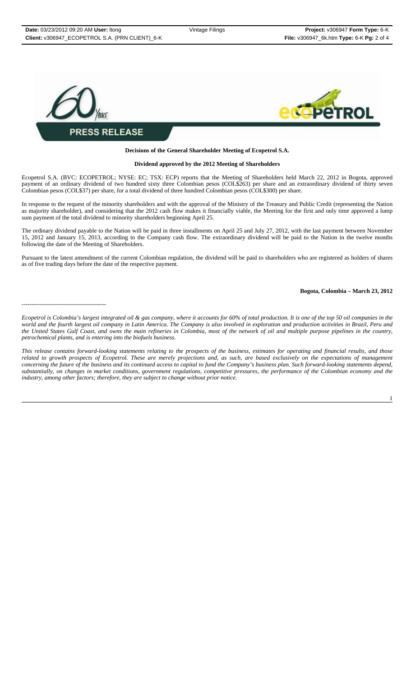

### **Decisions of the General Shareholder Meeting of Ecopetrol S.A.**

#### **Dividend approved by the 2012 Meeting of Shareholders**

Ecopetrol S.A. (BVC: ECOPETROL; NYSE: EC; TSX: ECP) reports that the Meeting of Shareholders held March 22, 2012 in Bogota, approved payment of an ordinary dividend of two hundred sixty three Colombian pesos (COL\$263) per share and an extraordinary dividend of thirty seven Colombian pesos (COL\$37) per share, for a total dividend of three hundred Colombian pesos (COL\$300) per share.

In response to the request of the minority shareholders and with the approval of the Ministry of the Treasury and Public Credit (representing the Nation as majority shareholder), and considering that the 2012 cash flow makes it financially viable, the Meeting for the first and only time approved a lump sum payment of the total dividend to minority shareholders beginning April 25.

The ordinary dividend payable to the Nation will be paid in three installments on April 25 and July 27, 2012, with the last payment between November 15, 2012 and January 15, 2013, according to the Company cash flow. The extraordinary dividend will be paid to the Nation in the twelve months following the date of the Meeting of Shareholders.

Pursuant to the latest amendment of the current Colombian regulation, the dividend will be paid to shareholders who are registered as holders of shares as of five trading days before the date of the respective payment.

#### **Bogota, Colombia – March 23, 2012**

------------------------------------------

*Ecopetrol is Colombia's largest integrated oil & gas company, where it accounts for 60% of total production. It is one of the top 50 oil companies in the world and the fourth largest oil company in Latin America. The Company is also involved in exploration and production activities in Brazil, Peru and the United States Gulf Coast, and owns the main refineries in Colombia, most of the network of oil and multiple purpose pipelines in the country, petrochemical plants, and is entering into the biofuels business.*

*This release contains forward-looking statements relating to the prospects of the business, estimates for operating and financial results, and those related to growth prospects of Ecopetrol. These are merely projections and, as such, are based exclusively on the expectations of management concerning the future of the business and its continued access to capital to fund the Company's business plan. Such forward-looking statements depend, substantially, on changes in market conditions, government regulations, competitive pressures, the performance of the Colombian economy and the industry, among other factors; therefore, they are subject to change without prior notice.*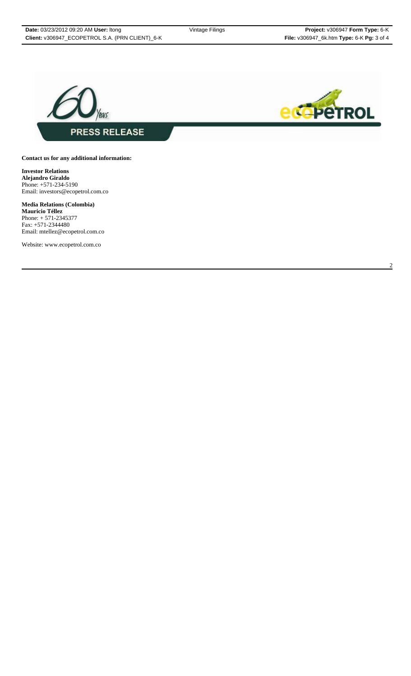



## **Contact us for any additional information:**

**Investor Relations Alejandro Giraldo** Phone: +571-234-5190 Email: investors@ecopetrol.com.co

**Media Relations (Colombia) Mauricio Téllez** Phone: + 571-2345377 Fax: +571-2344480 Email: mtellez@ecopetrol.com.co

Website: www.ecopetrol.com.co